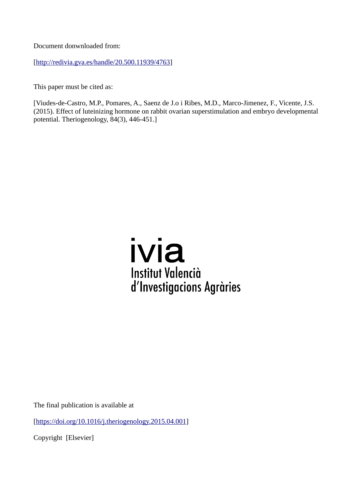Document donwnloaded from:

[[http://redivia.gva.es/handle/20.500.11939/4763\]](http://redivia.gva.es/handle/20.500.11939/4763)

This paper must be cited as:

[Viudes-de-Castro, M.P., Pomares, A., Saenz de J.o i Ribes, M.D., Marco-Jimenez, F., Vicente, J.S. (2015). Effect of luteinizing hormone on rabbit ovarian superstimulation and embryo developmental potential. Theriogenology, 84(3), 446-451.]



The final publication is available at

[<https://doi.org/10.1016/j.theriogenology.2015.04.001>]

Copyright [Elsevier]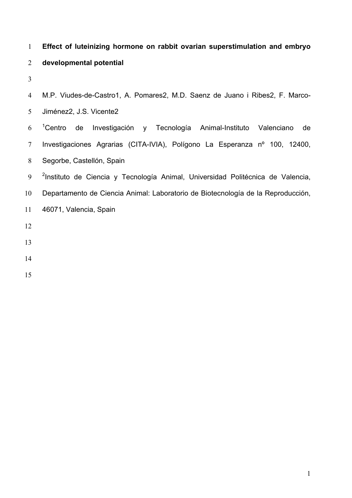# **Effect of luteinizing hormone on rabbit ovarian superstimulation and embryo developmental potential**

| $\overline{4}$ | M.P. Viudes-de-Castro1, A. Pomares2, M.D. Saenz de Juano i Ribes2, F. Marco-                |
|----------------|---------------------------------------------------------------------------------------------|
| 5 <sup>1</sup> | Jiménez2, J.S. Vicente2                                                                     |
| 6              | <sup>1</sup> Centro de<br>Investigación y Tecnología Animal-Instituto Valenciano<br>de      |
| $\tau$         | Investigaciones Agrarias (CITA-IVIA), Polígono La Esperanza nº 100, 12400,                  |
| 8              | Segorbe, Castellón, Spain                                                                   |
| 9              | <sup>2</sup> Instituto de Ciencia y Tecnología Animal, Universidad Politécnica de Valencia, |
| 10             | Departamento de Ciencia Animal: Laboratorio de Biotecnología de la Reproducción,            |
| 11             | 46071, Valencia, Spain                                                                      |
| 12             |                                                                                             |
| 13             |                                                                                             |
| 14             |                                                                                             |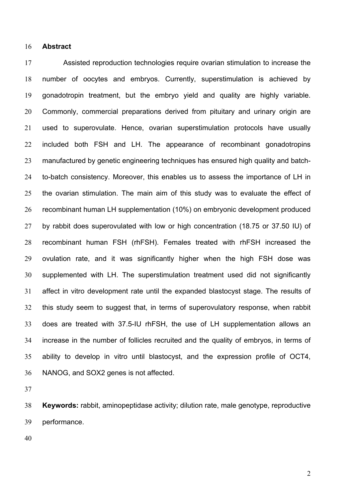#### **Abstract**

 Assisted reproduction technologies require ovarian stimulation to increase the number of oocytes and embryos. Currently, superstimulation is achieved by gonadotropin treatment, but the embryo yield and quality are highly variable. Commonly, commercial preparations derived from pituitary and urinary origin are used to superovulate. Hence, ovarian superstimulation protocols have usually included both FSH and LH. The appearance of recombinant gonadotropins manufactured by genetic engineering techniques has ensured high quality and batch- to-batch consistency. Moreover, this enables us to assess the importance of LH in the ovarian stimulation. The main aim of this study was to evaluate the effect of recombinant human LH supplementation (10%) on embryonic development produced by rabbit does superovulated with low or high concentration (18.75 or 37.50 IU) of recombinant human FSH (rhFSH). Females treated with rhFSH increased the ovulation rate, and it was significantly higher when the high FSH dose was supplemented with LH. The superstimulation treatment used did not significantly affect in vitro development rate until the expanded blastocyst stage. The results of this study seem to suggest that, in terms of superovulatory response, when rabbit does are treated with 37.5-IU rhFSH, the use of LH supplementation allows an increase in the number of follicles recruited and the quality of embryos, in terms of ability to develop in vitro until blastocyst, and the expression profile of OCT4, NANOG, and SOX2 genes is not affected.

 **Keywords:** rabbit, aminopeptidase activity; dilution rate, male genotype, reproductive performance.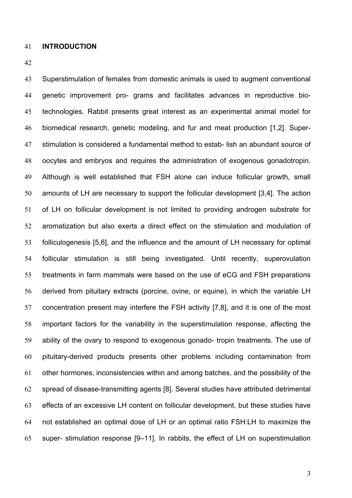# **INTRODUCTION**

 Superstimulation of females from domestic animals is used to augment conventional genetic improvement pro- grams and facilitates advances in reproductive bio- technologies. Rabbit presents great interest as an experimental animal model for biomedical research, genetic modeling, and fur and meat production [1,2]. Super- stimulation is considered a fundamental method to estab- lish an abundant source of oocytes and embryos and requires the administration of exogenous gonadotropin. Although is well established that FSH alone can induce follicular growth, small amounts of LH are necessary to support the follicular development [3,4]. The action of LH on follicular development is not limited to providing androgen substrate for aromatization but also exerts a direct effect on the stimulation and modulation of folliculogenesis [5,6], and the influence and the amount of LH necessary for optimal follicular stimulation is still being investigated. Until recently, superovulation treatments in farm mammals were based on the use of eCG and FSH preparations derived from pituitary extracts (porcine, ovine, or equine), in which the variable LH concentration present may interfere the FSH activity [7,8], and it is one of the most important factors for the variability in the superstimulation response, affecting the ability of the ovary to respond to exogenous gonado- tropin treatments. The use of pituitary-derived products presents other problems including contamination from other hormones, inconsistencies within and among batches, and the possibility of the spread of disease-transmitting agents [8]. Several studies have attributed detrimental effects of an excessive LH content on follicular development, but these studies have not established an optimal dose of LH or an optimal ratio FSH:LH to maximize the super- stimulation response [9–11]. In rabbits, the effect of LH on superstimulation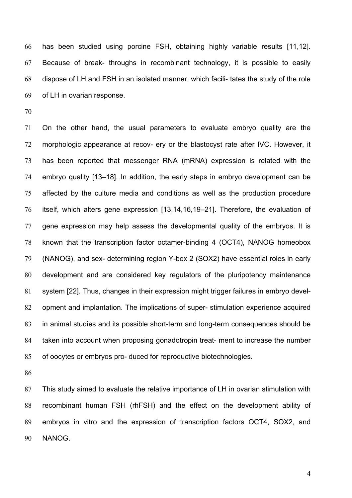has been studied using porcine FSH, obtaining highly variable results [11,12]. Because of break- throughs in recombinant technology, it is possible to easily dispose of LH and FSH in an isolated manner, which facili- tates the study of the role of LH in ovarian response.

 On the other hand, the usual parameters to evaluate embryo quality are the morphologic appearance at recov- ery or the blastocyst rate after IVC. However, it has been reported that messenger RNA (mRNA) expression is related with the embryo quality [13–18]. In addition, the early steps in embryo development can be affected by the culture media and conditions as well as the production procedure itself, which alters gene expression [13,14,16,19–21]. Therefore, the evaluation of gene expression may help assess the developmental quality of the embryos. It is known that the transcription factor octamer-binding 4 (OCT4), NANOG homeobox (NANOG), and sex- determining region Y-box 2 (SOX2) have essential roles in early development and are considered key regulators of the pluripotency maintenance system [22]. Thus, changes in their expression might trigger failures in embryo devel- opment and implantation. The implications of super- stimulation experience acquired in animal studies and its possible short-term and long-term consequences should be taken into account when proposing gonadotropin treat- ment to increase the number of oocytes or embryos pro- duced for reproductive biotechnologies.

 This study aimed to evaluate the relative importance of LH in ovarian stimulation with recombinant human FSH (rhFSH) and the effect on the development ability of embryos in vitro and the expression of transcription factors OCT4, SOX2, and NANOG.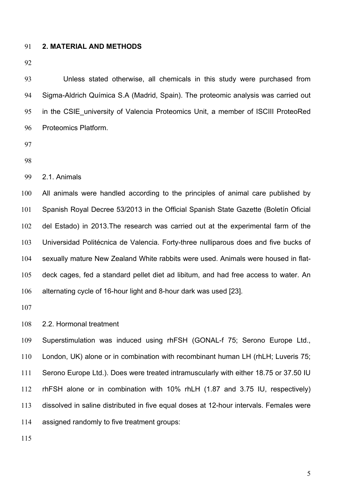# **2. MATERIAL AND METHODS**

 Unless stated otherwise, all chemicals in this study were purchased from Sigma-Aldrich Química S.A (Madrid, Spain). The proteomic analysis was carried out in the CSIE\_university of Valencia Proteomics Unit, a member of ISCIII ProteoRed Proteomics Platform.

- 
- 

2.1. Animals

 All animals were handled according to the principles of animal care published by Spanish Royal Decree 53/2013 in the Official Spanish State Gazette (Boletín Oficial del Estado) in 2013.The research was carried out at the experimental farm of the Universidad Politécnica de Valencia. Forty-three nulliparous does and five bucks of sexually mature New Zealand White rabbits were used. Animals were housed in flat- deck cages, fed a standard pellet diet ad libitum, and had free access to water. An alternating cycle of 16-hour light and 8-hour dark was used [23].

2.2. Hormonal treatment

 Superstimulation was induced using rhFSH (GONAL-f 75; Serono Europe Ltd., London, UK) alone or in combination with recombinant human LH (rhLH; Luveris 75; Serono Europe Ltd.). Does were treated intramuscularly with either 18.75 or 37.50 IU rhFSH alone or in combination with 10% rhLH (1.87 and 3.75 IU, respectively) dissolved in saline distributed in five equal doses at 12-hour intervals. Females were assigned randomly to five treatment groups: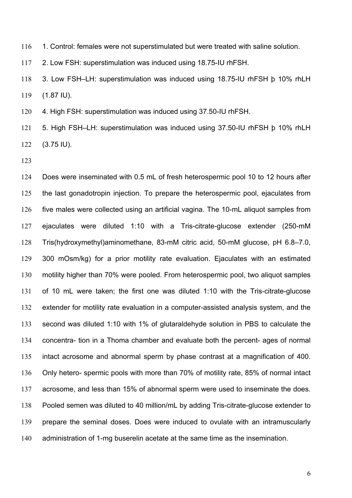116 1. Control: females were not superstimulated but were treated with saline solution.

2. Low FSH: superstimulation was induced using 18.75-IU rhFSH.

 3. Low FSH–LH: superstimulation was induced using 18.75-IU rhFSH þ 10% rhLH (1.87 IU).

4. High FSH: superstimulation was induced using 37.50-IU rhFSH.

 5. High FSH–LH: superstimulation was induced using 37.50-IU rhFSH þ 10% rhLH (3.75 IU).

 Does were inseminated with 0.5 mL of fresh heterospermic pool 10 to 12 hours after the last gonadotropin injection. To prepare the heterospermic pool, ejaculates from five males were collected using an artificial vagina. The 10-mL aliquot samples from ejaculates were diluted 1:10 with a Tris-citrate-glucose extender (250-mM Tris(hydroxymethyl)aminomethane, 83-mM citric acid, 50-mM glucose, pH 6.8–7.0, 300 mOsm/kg) for a prior motility rate evaluation. Ejaculates with an estimated motility higher than 70% were pooled. From heterospermic pool, two aliquot samples of 10 mL were taken; the first one was diluted 1:10 with the Tris-citrate-glucose extender for motility rate evaluation in a computer-assisted analysis system, and the second was diluted 1:10 with 1% of glutaraldehyde solution in PBS to calculate the concentra- tion in a Thoma chamber and evaluate both the percent- ages of normal intact acrosome and abnormal sperm by phase contrast at a magnification of 400. Only hetero- spermic pools with more than 70% of motility rate, 85% of normal intact acrosome, and less than 15% of abnormal sperm were used to inseminate the does. Pooled semen was diluted to 40 million/mL by adding Tris-citrate-glucose extender to prepare the seminal doses. Does were induced to ovulate with an intramuscularly administration of 1-mg buserelin acetate at the same time as the insemination.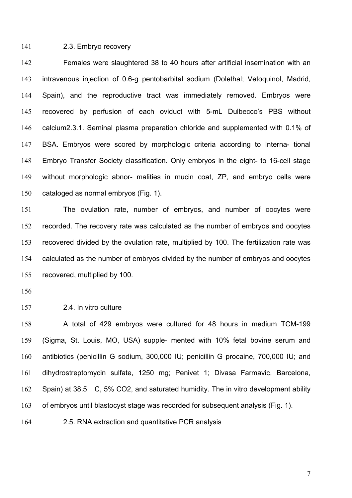### 2.3. Embryo recovery

 Females were slaughtered 38 to 40 hours after artificial insemination with an intravenous injection of 0.6-g pentobarbital sodium (Dolethal; Vetoquinol, Madrid, Spain), and the reproductive tract was immediately removed. Embryos were recovered by perfusion of each oviduct with 5-mL Dulbecco's PBS without calcium2.3.1. Seminal plasma preparation chloride and supplemented with 0.1% of BSA. Embryos were scored by morphologic criteria according to Interna- tional Embryo Transfer Society classification. Only embryos in the eight- to 16-cell stage without morphologic abnor- malities in mucin coat, ZP, and embryo cells were cataloged as normal embryos (Fig. 1).

 The ovulation rate, number of embryos, and number of oocytes were recorded. The recovery rate was calculated as the number of embryos and oocytes recovered divided by the ovulation rate, multiplied by 100. The fertilization rate was calculated as the number of embryos divided by the number of embryos and oocytes recovered, multiplied by 100.

2.4. In vitro culture

 A total of 429 embryos were cultured for 48 hours in medium TCM-199 (Sigma, St. Louis, MO, USA) supple- mented with 10% fetal bovine serum and antibiotics (penicillin G sodium, 300,000 IU; penicillin G procaine, 700,000 IU; and dihydrostreptomycin sulfate, 1250 mg; Penivet 1; Divasa Farmavic, Barcelona, Spain) at 38.5 C, 5% CO2, and saturated humidity. The in vitro development ability of embryos until blastocyst stage was recorded for subsequent analysis (Fig. 1).

2.5. RNA extraction and quantitative PCR analysis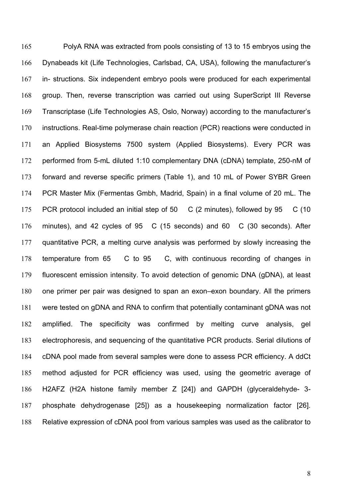PolyA RNA was extracted from pools consisting of 13 to 15 embryos using the Dynabeads kit (Life Technologies, Carlsbad, CA, USA), following the manufacturer's in- structions. Six independent embryo pools were produced for each experimental group. Then, reverse transcription was carried out using SuperScript III Reverse Transcriptase (Life Technologies AS, Oslo, Norway) according to the manufacturer's instructions. Real-time polymerase chain reaction (PCR) reactions were conducted in an Applied Biosystems 7500 system (Applied Biosystems). Every PCR was performed from 5-mL diluted 1:10 complementary DNA (cDNA) template, 250-nM of forward and reverse specific primers (Table 1), and 10 mL of Power SYBR Green PCR Master Mix (Fermentas Gmbh, Madrid, Spain) in a final volume of 20 mL. The PCR protocol included an initial step of 50 C (2 minutes), followed by 95 C (10 minutes), and 42 cycles of 95 C (15 seconds) and 60 C (30 seconds). After quantitative PCR, a melting curve analysis was performed by slowly increasing the temperature from 65 C to 95 C, with continuous recording of changes in fluorescent emission intensity. To avoid detection of genomic DNA (gDNA), at least one primer per pair was designed to span an exon–exon boundary. All the primers were tested on gDNA and RNA to confirm that potentially contaminant gDNA was not amplified. The specificity was confirmed by melting curve analysis, gel electrophoresis, and sequencing of the quantitative PCR products. Serial dilutions of cDNA pool made from several samples were done to assess PCR efficiency. A ddCt method adjusted for PCR efficiency was used, using the geometric average of H2AFZ (H2A histone family member Z [24]) and GAPDH (glyceraldehyde- 3- phosphate dehydrogenase [25]) as a housekeeping normalization factor [26]. Relative expression of cDNA pool from various samples was used as the calibrator to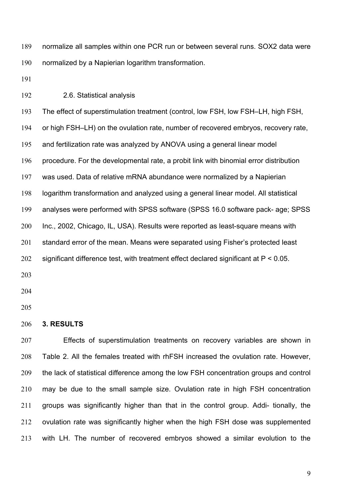normalize all samples within one PCR run or between several runs. SOX2 data were normalized by a Napierian logarithm transformation.

2.6. Statistical analysis

 The effect of superstimulation treatment (control, low FSH, low FSH–LH, high FSH, or high FSH–LH) on the ovulation rate, number of recovered embryos, recovery rate, and fertilization rate was analyzed by ANOVA using a general linear model procedure. For the developmental rate, a probit link with binomial error distribution was used. Data of relative mRNA abundance were normalized by a Napierian logarithm transformation and analyzed using a general linear model. All statistical analyses were performed with SPSS software (SPSS 16.0 software pack- age; SPSS Inc., 2002, Chicago, IL, USA). Results were reported as least-square means with 201 standard error of the mean. Means were separated using Fisher's protected least significant difference test, with treatment effect declared significant at P < 0.05. 

# **3. RESULTS**

 Effects of superstimulation treatments on recovery variables are shown in Table 2. All the females treated with rhFSH increased the ovulation rate. However, the lack of statistical difference among the low FSH concentration groups and control may be due to the small sample size. Ovulation rate in high FSH concentration groups was significantly higher than that in the control group. Addi- tionally, the ovulation rate was significantly higher when the high FSH dose was supplemented with LH. The number of recovered embryos showed a similar evolution to the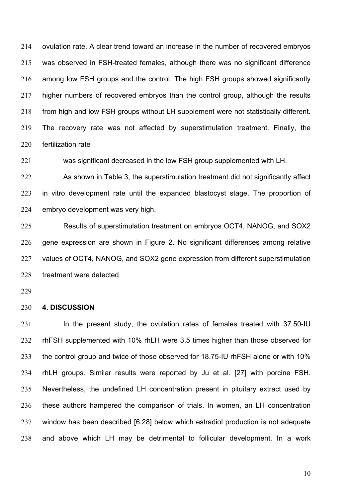ovulation rate. A clear trend toward an increase in the number of recovered embryos was observed in FSH-treated females, although there was no significant difference among low FSH groups and the control. The high FSH groups showed significantly higher numbers of recovered embryos than the control group, although the results from high and low FSH groups without LH supplement were not statistically different. The recovery rate was not affected by superstimulation treatment. Finally, the fertilization rate

was significant decreased in the low FSH group supplemented with LH.

 As shown in Table 3, the superstimulation treatment did not significantly affect in vitro development rate until the expanded blastocyst stage. The proportion of embryo development was very high.

 Results of superstimulation treatment on embryos OCT4, NANOG, and SOX2 gene expression are shown in Figure 2. No significant differences among relative values of OCT4, NANOG, and SOX2 gene expression from different superstimulation treatment were detected.

### **4. DISCUSSION**

 In the present study, the ovulation rates of females treated with 37.50-IU rhFSH supplemented with 10% rhLH were 3.5 times higher than those observed for 233 the control group and twice of those observed for 18.75-IU rhFSH alone or with 10% rhLH groups. Similar results were reported by Ju et al. [27] with porcine FSH. Nevertheless, the undefined LH concentration present in pituitary extract used by these authors hampered the comparison of trials. In women, an LH concentration window has been described [6,28] below which estradiol production is not adequate and above which LH may be detrimental to follicular development. In a work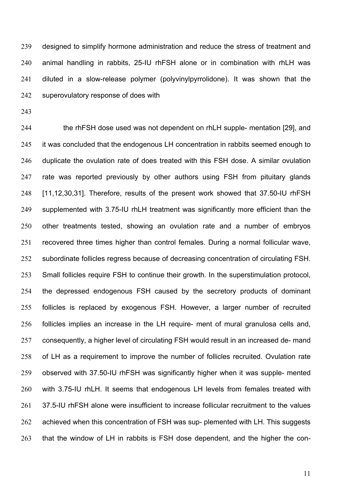designed to simplify hormone administration and reduce the stress of treatment and animal handling in rabbits, 25-IU rhFSH alone or in combination with rhLH was diluted in a slow-release polymer (polyvinylpyrrolidone). It was shown that the superovulatory response of does with

 the rhFSH dose used was not dependent on rhLH supple- mentation [29], and it was concluded that the endogenous LH concentration in rabbits seemed enough to duplicate the ovulation rate of does treated with this FSH dose. A similar ovulation 247 rate was reported previously by other authors using FSH from pituitary glands [11,12,30,31]. Therefore, results of the present work showed that 37.50-IU rhFSH supplemented with 3.75-IU rhLH treatment was significantly more efficient than the other treatments tested, showing an ovulation rate and a number of embryos recovered three times higher than control females. During a normal follicular wave, subordinate follicles regress because of decreasing concentration of circulating FSH. Small follicles require FSH to continue their growth. In the superstimulation protocol, the depressed endogenous FSH caused by the secretory products of dominant follicles is replaced by exogenous FSH. However, a larger number of recruited follicles implies an increase in the LH require- ment of mural granulosa cells and, consequently, a higher level of circulating FSH would result in an increased de- mand of LH as a requirement to improve the number of follicles recruited. Ovulation rate observed with 37.50-IU rhFSH was significantly higher when it was supple- mented with 3.75-IU rhLH. It seems that endogenous LH levels from females treated with 37.5-IU rhFSH alone were insufficient to increase follicular recruitment to the values 262 achieved when this concentration of FSH was sup- plemented with LH. This suggests that the window of LH in rabbits is FSH dose dependent, and the higher the con-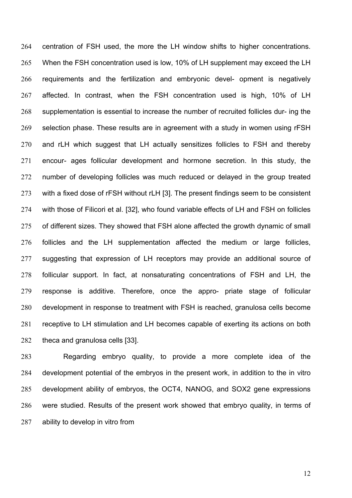centration of FSH used, the more the LH window shifts to higher concentrations. When the FSH concentration used is low, 10% of LH supplement may exceed the LH requirements and the fertilization and embryonic devel- opment is negatively affected. In contrast, when the FSH concentration used is high, 10% of LH supplementation is essential to increase the number of recruited follicles dur- ing the selection phase. These results are in agreement with a study in women using rFSH and rLH which suggest that LH actually sensitizes follicles to FSH and thereby encour- ages follicular development and hormone secretion. In this study, the number of developing follicles was much reduced or delayed in the group treated with a fixed dose of rFSH without rLH [3]. The present findings seem to be consistent with those of Filicori et al. [32], who found variable effects of LH and FSH on follicles of different sizes. They showed that FSH alone affected the growth dynamic of small follicles and the LH supplementation affected the medium or large follicles, suggesting that expression of LH receptors may provide an additional source of follicular support. In fact, at nonsaturating concentrations of FSH and LH, the response is additive. Therefore, once the appro- priate stage of follicular development in response to treatment with FSH is reached, granulosa cells become receptive to LH stimulation and LH becomes capable of exerting its actions on both theca and granulosa cells [33].

 Regarding embryo quality, to provide a more complete idea of the development potential of the embryos in the present work, in addition to the in vitro development ability of embryos, the OCT4, NANOG, and SOX2 gene expressions were studied. Results of the present work showed that embryo quality, in terms of ability to develop in vitro from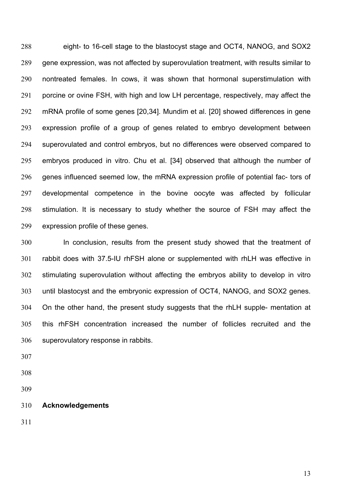eight- to 16-cell stage to the blastocyst stage and OCT4, NANOG, and SOX2 gene expression, was not affected by superovulation treatment, with results similar to nontreated females. In cows, it was shown that hormonal superstimulation with 291 porcine or ovine FSH, with high and low LH percentage, respectively, may affect the mRNA profile of some genes [20,34]. Mundim et al. [20] showed differences in gene expression profile of a group of genes related to embryo development between superovulated and control embryos, but no differences were observed compared to embryos produced in vitro. Chu et al. [34] observed that although the number of genes influenced seemed low, the mRNA expression profile of potential fac- tors of developmental competence in the bovine oocyte was affected by follicular stimulation. It is necessary to study whether the source of FSH may affect the expression profile of these genes.

 In conclusion, results from the present study showed that the treatment of rabbit does with 37.5-IU rhFSH alone or supplemented with rhLH was effective in stimulating superovulation without affecting the embryos ability to develop in vitro until blastocyst and the embryonic expression of OCT4, NANOG, and SOX2 genes. On the other hand, the present study suggests that the rhLH supple- mentation at this rhFSH concentration increased the number of follicles recruited and the superovulatory response in rabbits.

- 
- **Acknowledgements**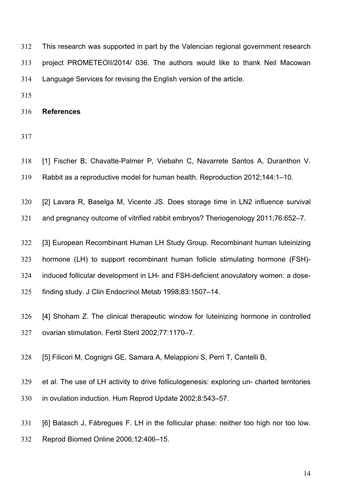This research was supported in part by the Valencian regional government research project PROMETEOII/2014/ 036. The authors would like to thank Neil Macowan Language Services for revising the English version of the article.

**References** 

- 
- [1] Fischer B, Chavatte-Palmer P, Viebahn C, Navarrete Santos A, Duranthon V. Rabbit as a reproductive model for human health. Reproduction 2012;144:1–10.
- [2] Lavara R, Baselga M, Vicente JS. Does storage time in LN2 influence survival
- and pregnancy outcome of vitrified rabbit embryos? Theriogenology 2011;76:652–7.
- [3] European Recombinant Human LH Study Group. Recombinant human luteinizing hormone (LH) to support recombinant human follicle stimulating hormone (FSH)-
- induced follicular development in LH- and FSH-deficient anovulatory women: a dose-
- finding study. J Clin Endocrinol Metab 1998;83:1507–14.
- [4] Shoham Z. The clinical therapeutic window for luteinizing hormone in controlled ovarian stimulation. Fertil Steril 2002;77:1170–7.
- [5] Filicori M, Cognigni GE, Samara A, Melappioni S, Perri T, Cantelli B,
- et al. The use of LH activity to drive folliculogenesis: exploring un- charted territories in ovulation induction. Hum Reprod Update 2002;8:543–57.
- [6] Balasch J, Fábregues F. LH in the follicular phase: neither too high nor too low. Reprod Biomed Online 2006;12:406–15.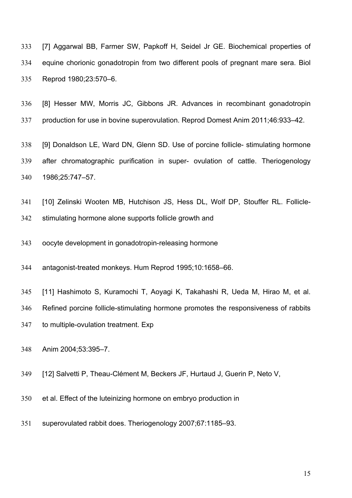[7] Aggarwal BB, Farmer SW, Papkoff H, Seidel Jr GE. Biochemical properties of equine chorionic gonadotropin from two different pools of pregnant mare sera. Biol Reprod 1980;23:570–6.

 [8] Hesser MW, Morris JC, Gibbons JR. Advances in recombinant gonadotropin production for use in bovine superovulation. Reprod Domest Anim 2011;46:933–42.

 [9] Donaldson LE, Ward DN, Glenn SD. Use of porcine follicle- stimulating hormone after chromatographic purification in super- ovulation of cattle. Theriogenology 1986;25:747–57.

- [10] Zelinski Wooten MB, Hutchison JS, Hess DL, Wolf DP, Stouffer RL. Follicle-
- stimulating hormone alone supports follicle growth and
- oocyte development in gonadotropin-releasing hormone
- antagonist-treated monkeys. Hum Reprod 1995;10:1658–66.
- [11] Hashimoto S, Kuramochi T, Aoyagi K, Takahashi R, Ueda M, Hirao M, et al.
- Refined porcine follicle-stimulating hormone promotes the responsiveness of rabbits
- to multiple-ovulation treatment. Exp
- Anim 2004;53:395–7.
- [12] Salvetti P, Theau-Clément M, Beckers JF, Hurtaud J, Guerin P, Neto V,
- et al. Effect of the luteinizing hormone on embryo production in
- superovulated rabbit does. Theriogenology 2007;67:1185–93.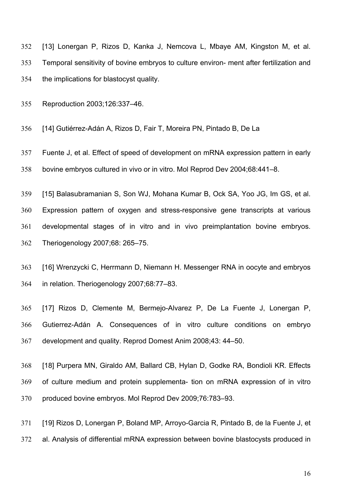[13] Lonergan P, Rizos D, Kanka J, Nemcova L, Mbaye AM, Kingston M, et al. Temporal sensitivity of bovine embryos to culture environ- ment after fertilization and the implications for blastocyst quality.

Reproduction 2003;126:337–46.

[14] Gutiérrez-Adán A, Rizos D, Fair T, Moreira PN, Pintado B, De La

 Fuente J, et al. Effect of speed of development on mRNA expression pattern in early bovine embryos cultured in vivo or in vitro. Mol Reprod Dev 2004;68:441–8.

 [15] Balasubramanian S, Son WJ, Mohana Kumar B, Ock SA, Yoo JG, Im GS, et al. Expression pattern of oxygen and stress-responsive gene transcripts at various developmental stages of in vitro and in vivo preimplantation bovine embryos. Theriogenology 2007;68: 265–75.

 [16] Wrenzycki C, Herrmann D, Niemann H. Messenger RNA in oocyte and embryos in relation. Theriogenology 2007;68:77–83.

 [17] Rizos D, Clemente M, Bermejo-Alvarez P, De La Fuente J, Lonergan P, Gutierrez-Adán A. Consequences of in vitro culture conditions on embryo development and quality. Reprod Domest Anim 2008;43: 44–50.

 [18] Purpera MN, Giraldo AM, Ballard CB, Hylan D, Godke RA, Bondioli KR. Effects of culture medium and protein supplementa- tion on mRNA expression of in vitro produced bovine embryos. Mol Reprod Dev 2009;76:783–93.

 [19] Rizos D, Lonergan P, Boland MP, Arroyo-Garcia R, Pintado B, de la Fuente J, et al. Analysis of differential mRNA expression between bovine blastocysts produced in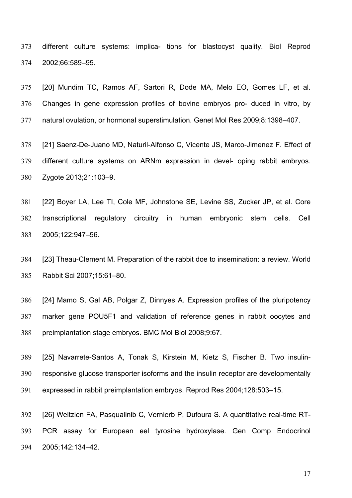different culture systems: implica- tions for blastocyst quality. Biol Reprod 2002;66:589–95.

 [20] Mundim TC, Ramos AF, Sartori R, Dode MA, Melo EO, Gomes LF, et al. Changes in gene expression profiles of bovine embryos pro- duced in vitro, by natural ovulation, or hormonal superstimulation. Genet Mol Res 2009;8:1398–407.

 [21] Saenz-De-Juano MD, Naturil-Alfonso C, Vicente JS, Marco-Jimenez F. Effect of different culture systems on ARNm expression in devel- oping rabbit embryos. Zygote 2013;21:103–9.

 [22] Boyer LA, Lee TI, Cole MF, Johnstone SE, Levine SS, Zucker JP, et al. Core transcriptional regulatory circuitry in human embryonic stem cells. Cell 2005;122:947–56.

 [23] Theau-Clement M. Preparation of the rabbit doe to insemination: a review. World Rabbit Sci 2007;15:61–80.

 [24] Mamo S, Gal AB, Polgar Z, Dinnyes A. Expression profiles of the pluripotency marker gene POU5F1 and validation of reference genes in rabbit oocytes and preimplantation stage embryos. BMC Mol Biol 2008;9:67.

 [25] Navarrete-Santos A, Tonak S, Kirstein M, Kietz S, Fischer B. Two insulin- responsive glucose transporter isoforms and the insulin receptor are developmentally expressed in rabbit preimplantation embryos. Reprod Res 2004;128:503–15.

 [26] Weltzien FA, Pasqualinib C, Vernierb P, Dufoura S. A quantitative real-time RT- PCR assay for European eel tyrosine hydroxylase. Gen Comp Endocrinol 2005;142:134–42.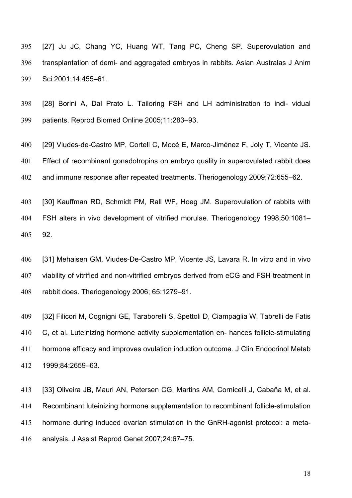[27] Ju JC, Chang YC, Huang WT, Tang PC, Cheng SP. Superovulation and transplantation of demi- and aggregated embryos in rabbits. Asian Australas J Anim Sci 2001;14:455–61.

 [28] Borini A, Dal Prato L. Tailoring FSH and LH administration to indi- vidual patients. Reprod Biomed Online 2005;11:283–93.

 [29] Viudes-de-Castro MP, Cortell C, Mocé E, Marco-Jiménez F, Joly T, Vicente JS. Effect of recombinant gonadotropins on embryo quality in superovulated rabbit does and immune response after repeated treatments. Theriogenology 2009;72:655–62.

 [30] Kauffman RD, Schmidt PM, Rall WF, Hoeg JM. Superovulation of rabbits with FSH alters in vivo development of vitrified morulae. Theriogenology 1998;50:1081– 92.

 [31] Mehaisen GM, Viudes-De-Castro MP, Vicente JS, Lavara R. In vitro and in vivo viability of vitrified and non-vitrified embryos derived from eCG and FSH treatment in rabbit does. Theriogenology 2006; 65:1279–91.

 [32] Filicori M, Cognigni GE, Taraborelli S, Spettoli D, Ciampaglia W, Tabrelli de Fatis C, et al. Luteinizing hormone activity supplementation en- hances follicle-stimulating hormone efficacy and improves ovulation induction outcome. J Clin Endocrinol Metab 1999;84:2659–63.

 [33] Oliveira JB, Mauri AN, Petersen CG, Martins AM, Cornicelli J, Cabaña M, et al. Recombinant luteinizing hormone supplementation to recombinant follicle-stimulation hormone during induced ovarian stimulation in the GnRH-agonist protocol: a meta-analysis. J Assist Reprod Genet 2007;24:67–75.